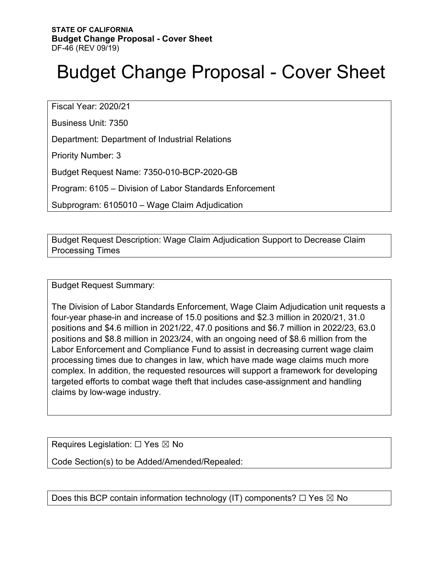# Budget Change Proposal - Cover Sheet

Fiscal Year: 2020/21

Business Unit: 7350

Department: Department of Industrial Relations

Priority Number: 3

Budget Request Name: 7350-010-BCP-2020-GB

Program: 6105 – Division of Labor Standards Enforcement

Subprogram: 6105010 – Wage Claim Adjudication

Budget Request Description: Wage Claim Adjudication Support to Decrease Claim Processing Times

Budget Request Summary:

The Division of Labor Standards Enforcement, Wage Claim Adjudication unit requests a four-year phase-in and increase of 15.0 positions and \$2.3 million in 2020/21, 31.0 positions and \$4.6 million in 2021/22, 47.0 positions and \$6.7 million in 2022/23, 63.0 positions and \$8.8 million in 2023/24, with an ongoing need of \$8.6 million from the Labor Enforcement and Compliance Fund to assist in decreasing current wage claim processing times due to changes in law, which have made wage claims much more complex. In addition, the requested resources will support a framework for developing targeted efforts to combat wage theft that includes case-assignment and handling claims by low-wage industry.

Requires Legislation:  $\Box$  Yes  $\boxtimes$  No

Code Section(s) to be Added/Amended/Repealed:

Does this BCP contain information technology (IT) components?  $\Box$  Yes  $\boxtimes$  No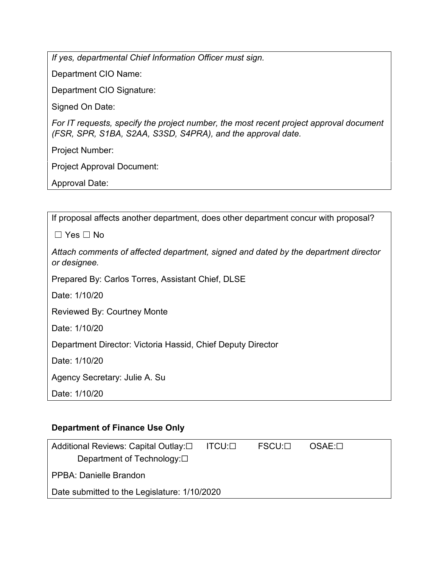*If yes, departmental Chief Information Officer must sign.*

Department CIO Name:

Department CIO Signature:

Signed On Date:

*For IT requests, specify the project number, the most recent project approval document (FSR, SPR, S1BA, S2AA, S3SD, S4PRA), and the approval date.*

Project Number:

Project Approval Document:

Approval Date:

| If proposal affects another department, does other department concur with proposal?                 |
|-----------------------------------------------------------------------------------------------------|
| $\Box$ Yes $\Box$ No                                                                                |
| Attach comments of affected department, signed and dated by the department director<br>or designee. |
| Prepared By: Carlos Torres, Assistant Chief, DLSE                                                   |
| Date: 1/10/20                                                                                       |
| <b>Reviewed By: Courtney Monte</b>                                                                  |
| Date: 1/10/20                                                                                       |
| Department Director: Victoria Hassid, Chief Deputy Director                                         |
| Date: 1/10/20                                                                                       |
| Agency Secretary: Julie A. Su                                                                       |
| Date: 1/10/20                                                                                       |

#### **Department of Finance Use Only**

| Additional Reviews: Capital Outlay:□         | $\mathsf{ITCU}:\square$ | FSCU:⊡ | $OSAE: \Box$ |
|----------------------------------------------|-------------------------|--------|--------------|
| Department of Technology: $\square$          |                         |        |              |
| PPBA: Danielle Brandon                       |                         |        |              |
| Date submitted to the Legislature: 1/10/2020 |                         |        |              |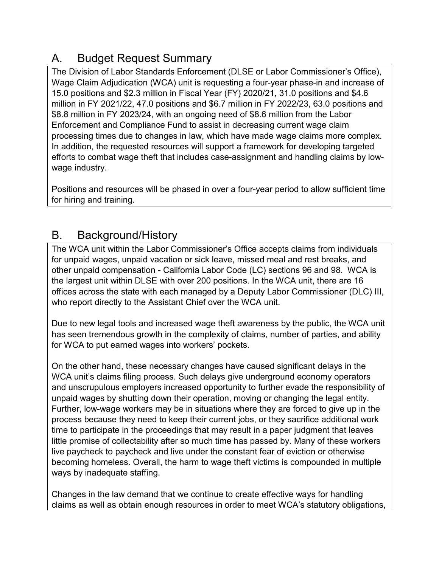# A. Budget Request Summary

The Division of Labor Standards Enforcement (DLSE or Labor Commissioner's Office), Wage Claim Adjudication (WCA) unit is requesting a four-year phase-in and increase of 15.0 positions and \$2.3 million in Fiscal Year (FY) 2020/21, 31.0 positions and \$4.6 million in FY 2021/22, 47.0 positions and \$6.7 million in FY 2022/23, 63.0 positions and \$8.8 million in FY 2023/24, with an ongoing need of \$8.6 million from the Labor Enforcement and Compliance Fund to assist in decreasing current wage claim processing times due to changes in law, which have made wage claims more complex. In addition, the requested resources will support a framework for developing targeted efforts to combat wage theft that includes case-assignment and handling claims by lowwage industry.

Positions and resources will be phased in over a four-year period to allow sufficient time for hiring and training.

# B. Background/History

The WCA unit within the Labor Commissioner's Office accepts claims from individuals for unpaid wages, unpaid vacation or sick leave, missed meal and rest breaks, and other unpaid compensation - California Labor Code (LC) sections 96 and 98. WCA is the largest unit within DLSE with over 200 positions. In the WCA unit, there are 16 offices across the state with each managed by a Deputy Labor Commissioner (DLC) III, who report directly to the Assistant Chief over the WCA unit.

Due to new legal tools and increased wage theft awareness by the public, the WCA unit has seen tremendous growth in the complexity of claims, number of parties, and ability for WCA to put earned wages into workers' pockets.

On the other hand, these necessary changes have caused significant delays in the WCA unit's claims filing process. Such delays give underground economy operators and unscrupulous employers increased opportunity to further evade the responsibility of unpaid wages by shutting down their operation, moving or changing the legal entity. Further, low-wage workers may be in situations where they are forced to give up in the process because they need to keep their current jobs, or they sacrifice additional work time to participate in the proceedings that may result in a paper judgment that leaves little promise of collectability after so much time has passed by. Many of these workers live paycheck to paycheck and live under the constant fear of eviction or otherwise becoming homeless. Overall, the harm to wage theft victims is compounded in multiple ways by inadequate staffing.

Changes in the law demand that we continue to create effective ways for handling claims as well as obtain enough resources in order to meet WCA's statutory obligations,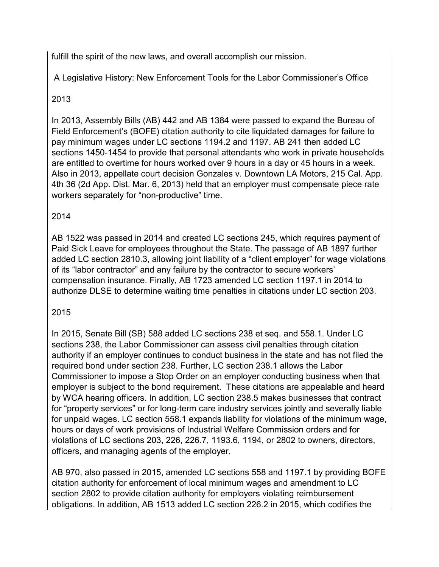fulfill the spirit of the new laws, and overall accomplish our mission.

A Legislative History: New Enforcement Tools for the Labor Commissioner's Office

### 2013

In 2013, Assembly Bills (AB) 442 and AB 1384 were passed to expand the Bureau of Field Enforcement's (BOFE) citation authority to cite liquidated damages for failure to pay minimum wages under LC sections 1194.2 and 1197. AB 241 then added LC sections 1450-1454 to provide that personal attendants who work in private households are entitled to overtime for hours worked over 9 hours in a day or 45 hours in a week. Also in 2013, appellate court decision Gonzales v. Downtown LA Motors, 215 Cal. App. 4th 36 (2d App. Dist. Mar. 6, 2013) held that an employer must compensate piece rate workers separately for "non-productive" time.

### 2014

AB 1522 was passed in 2014 and created LC sections 245, which requires payment of Paid Sick Leave for employees throughout the State. The passage of AB 1897 further added LC section 2810.3, allowing joint liability of a "client employer" for wage violations of its "labor contractor" and any failure by the contractor to secure workers' compensation insurance. Finally, AB 1723 amended LC section 1197.1 in 2014 to authorize DLSE to determine waiting time penalties in citations under LC section 203.

### 2015

In 2015, Senate Bill (SB) 588 added LC sections 238 et seq. and 558.1. Under LC sections 238, the Labor Commissioner can assess civil penalties through citation authority if an employer continues to conduct business in the state and has not filed the required bond under section 238. Further, LC section 238.1 allows the Labor Commissioner to impose a Stop Order on an employer conducting business when that employer is subject to the bond requirement. These citations are appealable and heard by WCA hearing officers. In addition, LC section 238.5 makes businesses that contract for "property services" or for long-term care industry services jointly and severally liable for unpaid wages. LC section 558.1 expands liability for violations of the minimum wage, hours or days of work provisions of Industrial Welfare Commission orders and for violations of LC sections 203, 226, 226.7, 1193.6, 1194, or 2802 to owners, directors, officers, and managing agents of the employer.

AB 970, also passed in 2015, amended LC sections 558 and 1197.1 by providing BOFE citation authority for enforcement of local minimum wages and amendment to LC section 2802 to provide citation authority for employers violating reimbursement obligations. In addition, AB 1513 added LC section 226.2 in 2015, which codifies the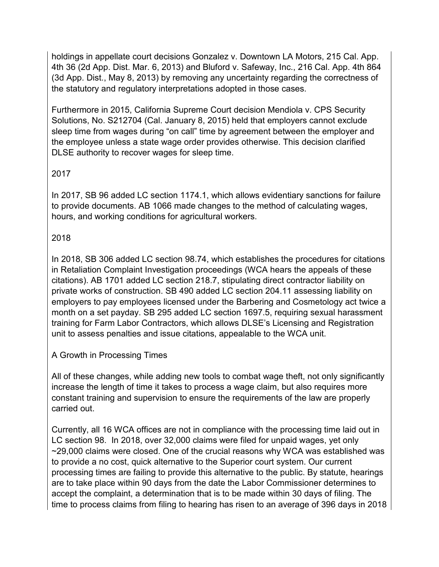holdings in appellate court decisions Gonzalez v. Downtown LA Motors, 215 Cal. App. 4th 36 (2d App. Dist. Mar. 6, 2013) and Bluford v. Safeway, Inc., 216 Cal. App. 4th 864 (3d App. Dist., May 8, 2013) by removing any uncertainty regarding the correctness of the statutory and regulatory interpretations adopted in those cases.

Furthermore in 2015, California Supreme Court decision Mendiola v. CPS Security Solutions, No. S212704 (Cal. January 8, 2015) held that employers cannot exclude sleep time from wages during "on call" time by agreement between the employer and the employee unless a state wage order provides otherwise. This decision clarified DLSE authority to recover wages for sleep time.

#### 2017

In 2017, SB 96 added LC section 1174.1, which allows evidentiary sanctions for failure to provide documents. AB 1066 made changes to the method of calculating wages, hours, and working conditions for agricultural workers.

#### 2018

In 2018, SB 306 added LC section 98.74, which establishes the procedures for citations in Retaliation Complaint Investigation proceedings (WCA hears the appeals of these citations). AB 1701 added LC section 218.7, stipulating direct contractor liability on private works of construction. SB 490 added LC section 204.11 assessing liability on employers to pay employees licensed under the Barbering and Cosmetology act twice a month on a set payday. SB 295 added LC section 1697.5, requiring sexual harassment training for Farm Labor Contractors, which allows DLSE's Licensing and Registration unit to assess penalties and issue citations, appealable to the WCA unit.

#### A Growth in Processing Times

All of these changes, while adding new tools to combat wage theft, not only significantly increase the length of time it takes to process a wage claim, but also requires more constant training and supervision to ensure the requirements of the law are properly carried out.

Currently, all 16 WCA offices are not in compliance with the processing time laid out in LC section 98. In 2018, over 32,000 claims were filed for unpaid wages, yet only ~29,000 claims were closed. One of the crucial reasons why WCA was established was to provide a no cost, quick alternative to the Superior court system. Our current processing times are failing to provide this alternative to the public. By statute, hearings are to take place within 90 days from the date the Labor Commissioner determines to accept the complaint, a determination that is to be made within 30 days of filing. The time to process claims from filing to hearing has risen to an average of 396 days in 2018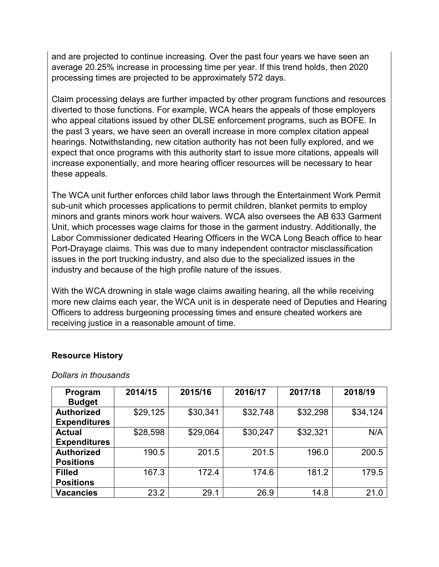and are projected to continue increasing. Over the past four years we have seen an average 20.25% increase in processing time per year. If this trend holds, then 2020 processing times are projected to be approximately 572 days.

Claim processing delays are further impacted by other program functions and resources diverted to those functions. For example, WCA hears the appeals of those employers who appeal citations issued by other DLSE enforcement programs, such as BOFE. In the past 3 years, we have seen an overall increase in more complex citation appeal hearings. Notwithstanding, new citation authority has not been fully explored, and we expect that once programs with this authority start to issue more citations, appeals will increase exponentially, and more hearing officer resources will be necessary to hear these appeals.

The WCA unit further enforces child labor laws through the Entertainment Work Permit sub-unit which processes applications to permit children, blanket permits to employ minors and grants minors work hour waivers. WCA also oversees the AB 633 Garment Unit, which processes wage claims for those in the garment industry. Additionally, the Labor Commissioner dedicated Hearing Officers in the WCA Long Beach office to hear Port-Drayage claims. This was due to many independent contractor misclassification issues in the port trucking industry, and also due to the specialized issues in the industry and because of the high profile nature of the issues.

With the WCA drowning in stale wage claims awaiting hearing, all the while receiving more new claims each year, the WCA unit is in desperate need of Deputies and Hearing Officers to address burgeoning processing times and ensure cheated workers are receiving justice in a reasonable amount of time.

| Program<br><b>Budget</b>                 | 2014/15  | 2015/16  | 2016/17  | 2017/18  | 2018/19  |
|------------------------------------------|----------|----------|----------|----------|----------|
| <b>Authorized</b><br><b>Expenditures</b> | \$29,125 | \$30,341 | \$32,748 | \$32,298 | \$34,124 |
| <b>Actual</b>                            | \$28,598 | \$29,064 | \$30,247 | \$32,321 | N/A      |
| <b>Expenditures</b><br><b>Authorized</b> | 190.5    | 201.5    | 201.5    | 196.0    | 200.5    |
| <b>Positions</b>                         |          |          |          |          |          |
| <b>Filled</b><br><b>Positions</b>        | 167.3    | 172.4    | 174.6    | 181.2    | 179.5    |
| <b>Vacancies</b>                         | 23.2     | 29.1     | 26.9     | 14.8     | 21.0     |

#### **Resource History**

*Dollars in thousands*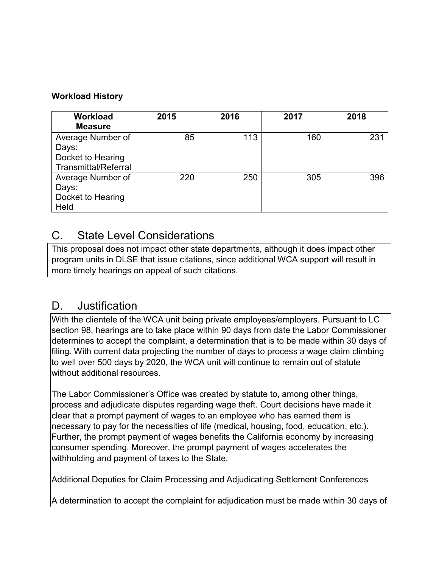#### **Workload History**

| <b>Workload</b><br><b>Measure</b>                                              | 2015 | 2016 | 2017 | 2018 |
|--------------------------------------------------------------------------------|------|------|------|------|
| Average Number of<br>Days:<br>Docket to Hearing<br><b>Transmittal/Referral</b> | 85   | 113  | 160  | 231  |
| Average Number of<br>Days:<br>Docket to Hearing<br>Held                        | 220  | 250  | 305  | 396  |

### C. State Level Considerations

This proposal does not impact other state departments, although it does impact other program units in DLSE that issue citations, since additional WCA support will result in more timely hearings on appeal of such citations.

### D. Justification

With the clientele of the WCA unit being private employees/employers. Pursuant to LC section 98, hearings are to take place within 90 days from date the Labor Commissioner determines to accept the complaint, a determination that is to be made within 30 days of filing. With current data projecting the number of days to process a wage claim climbing to well over 500 days by 2020, the WCA unit will continue to remain out of statute without additional resources.

The Labor Commissioner's Office was created by statute to, among other things, process and adjudicate disputes regarding wage theft. Court decisions have made it clear that a prompt payment of wages to an employee who has earned them is necessary to pay for the necessities of life (medical, housing, food, education, etc.). Further, the prompt payment of wages benefits the California economy by increasing consumer spending. Moreover, the prompt payment of wages accelerates the withholding and payment of taxes to the State.

Additional Deputies for Claim Processing and Adjudicating Settlement Conferences

A determination to accept the complaint for adjudication must be made within 30 days of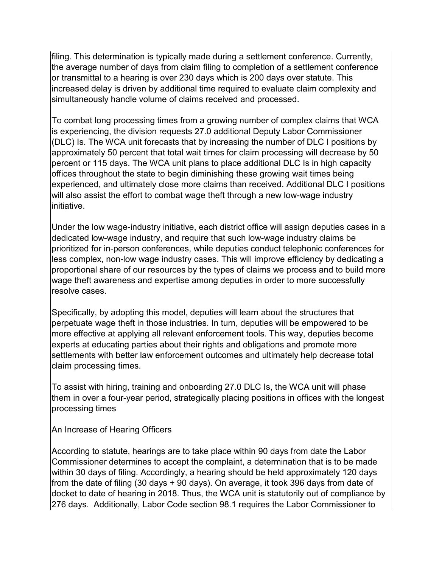filing. This determination is typically made during a settlement conference. Currently, the average number of days from claim filing to completion of a settlement conference or transmittal to a hearing is over 230 days which is 200 days over statute. This increased delay is driven by additional time required to evaluate claim complexity and simultaneously handle volume of claims received and processed.

To combat long processing times from a growing number of complex claims that WCA is experiencing, the division requests 27.0 additional Deputy Labor Commissioner (DLC) Is. The WCA unit forecasts that by increasing the number of DLC I positions by approximately 50 percent that total wait times for claim processing will decrease by 50 percent or 115 days. The WCA unit plans to place additional DLC Is in high capacity offices throughout the state to begin diminishing these growing wait times being experienced, and ultimately close more claims than received. Additional DLC I positions will also assist the effort to combat wage theft through a new low-wage industry initiative.

Under the low wage-industry initiative, each district office will assign deputies cases in a dedicated low-wage industry, and require that such low-wage industry claims be prioritized for in-person conferences, while deputies conduct telephonic conferences for less complex, non-low wage industry cases. This will improve efficiency by dedicating a proportional share of our resources by the types of claims we process and to build more wage theft awareness and expertise among deputies in order to more successfully resolve cases.

Specifically, by adopting this model, deputies will learn about the structures that perpetuate wage theft in those industries. In turn, deputies will be empowered to be more effective at applying all relevant enforcement tools. This way, deputies become experts at educating parties about their rights and obligations and promote more settlements with better law enforcement outcomes and ultimately help decrease total claim processing times.

To assist with hiring, training and onboarding 27.0 DLC Is, the WCA unit will phase them in over a four-year period, strategically placing positions in offices with the longest processing times

An Increase of Hearing Officers

According to statute, hearings are to take place within 90 days from date the Labor Commissioner determines to accept the complaint, a determination that is to be made within 30 days of filing. Accordingly, a hearing should be held approximately 120 days from the date of filing (30 days + 90 days). On average, it took 396 days from date of docket to date of hearing in 2018. Thus, the WCA unit is statutorily out of compliance by 276 days. Additionally, Labor Code section 98.1 requires the Labor Commissioner to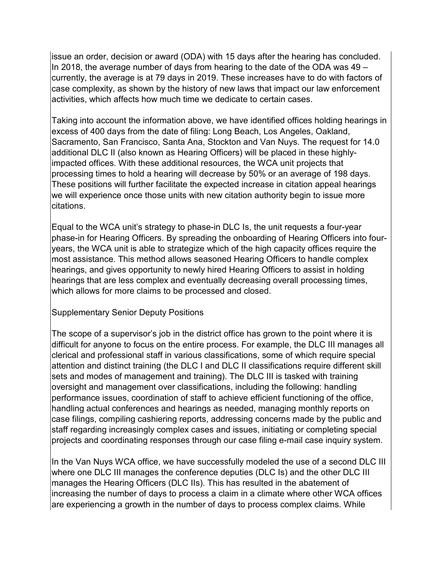issue an order, decision or award (ODA) with 15 days after the hearing has concluded. In 2018, the average number of days from hearing to the date of the ODA was 49 – currently, the average is at 79 days in 2019. These increases have to do with factors of case complexity, as shown by the history of new laws that impact our law enforcement activities, which affects how much time we dedicate to certain cases.

Taking into account the information above, we have identified offices holding hearings in excess of 400 days from the date of filing: Long Beach, Los Angeles, Oakland, Sacramento, San Francisco, Santa Ana, Stockton and Van Nuys. The request for 14.0 additional DLC II (also known as Hearing Officers) will be placed in these highlyimpacted offices. With these additional resources, the WCA unit projects that processing times to hold a hearing will decrease by 50% or an average of 198 days. These positions will further facilitate the expected increase in citation appeal hearings we will experience once those units with new citation authority begin to issue more citations.

Equal to the WCA unit's strategy to phase-in DLC Is, the unit requests a four-year phase-in for Hearing Officers. By spreading the onboarding of Hearing Officers into fouryears, the WCA unit is able to strategize which of the high capacity offices require the most assistance. This method allows seasoned Hearing Officers to handle complex hearings, and gives opportunity to newly hired Hearing Officers to assist in holding hearings that are less complex and eventually decreasing overall processing times, which allows for more claims to be processed and closed.

#### Supplementary Senior Deputy Positions

The scope of a supervisor's job in the district office has grown to the point where it is difficult for anyone to focus on the entire process. For example, the DLC III manages all clerical and professional staff in various classifications, some of which require special attention and distinct training (the DLC I and DLC II classifications require different skill sets and modes of management and training). The DLC III is tasked with training oversight and management over classifications, including the following: handling performance issues, coordination of staff to achieve efficient functioning of the office, handling actual conferences and hearings as needed, managing monthly reports on case filings, compiling cashiering reports, addressing concerns made by the public and staff regarding increasingly complex cases and issues, initiating or completing special projects and coordinating responses through our case filing e-mail case inquiry system.

In the Van Nuys WCA office, we have successfully modeled the use of a second DLC III where one DLC III manages the conference deputies (DLC Is) and the other DLC III manages the Hearing Officers (DLC IIs). This has resulted in the abatement of increasing the number of days to process a claim in a climate where other WCA offices are experiencing a growth in the number of days to process complex claims. While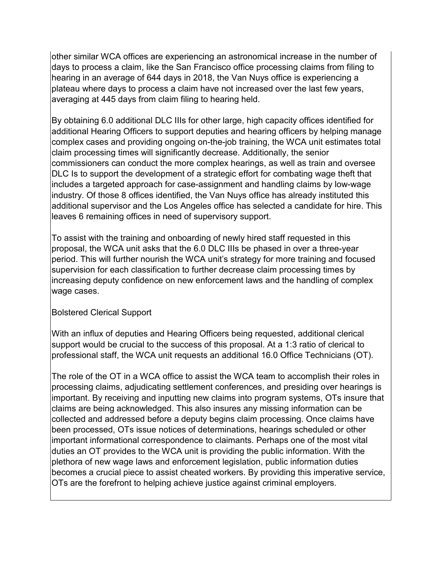other similar WCA offices are experiencing an astronomical increase in the number of days to process a claim, like the San Francisco office processing claims from filing to hearing in an average of 644 days in 2018, the Van Nuys office is experiencing a plateau where days to process a claim have not increased over the last few years, averaging at 445 days from claim filing to hearing held.

By obtaining 6.0 additional DLC IIIs for other large, high capacity offices identified for additional Hearing Officers to support deputies and hearing officers by helping manage complex cases and providing ongoing on-the-job training, the WCA unit estimates total claim processing times will significantly decrease. Additionally, the senior commissioners can conduct the more complex hearings, as well as train and oversee DLC Is to support the development of a strategic effort for combating wage theft that includes a targeted approach for case-assignment and handling claims by low-wage industry. Of those 8 offices identified, the Van Nuys office has already instituted this additional supervisor and the Los Angeles office has selected a candidate for hire. This leaves 6 remaining offices in need of supervisory support.

To assist with the training and onboarding of newly hired staff requested in this proposal, the WCA unit asks that the 6.0 DLC IIIs be phased in over a three-year period. This will further nourish the WCA unit's strategy for more training and focused supervision for each classification to further decrease claim processing times by increasing deputy confidence on new enforcement laws and the handling of complex wage cases.

#### Bolstered Clerical Support

With an influx of deputies and Hearing Officers being requested, additional clerical support would be crucial to the success of this proposal. At a 1:3 ratio of clerical to professional staff, the WCA unit requests an additional 16.0 Office Technicians (OT).

The role of the OT in a WCA office to assist the WCA team to accomplish their roles in processing claims, adjudicating settlement conferences, and presiding over hearings is important. By receiving and inputting new claims into program systems, OTs insure that claims are being acknowledged. This also insures any missing information can be collected and addressed before a deputy begins claim processing. Once claims have been processed, OTs issue notices of determinations, hearings scheduled or other important informational correspondence to claimants. Perhaps one of the most vital duties an OT provides to the WCA unit is providing the public information. With the plethora of new wage laws and enforcement legislation, public information duties becomes a crucial piece to assist cheated workers. By providing this imperative service, OTs are the forefront to helping achieve justice against criminal employers.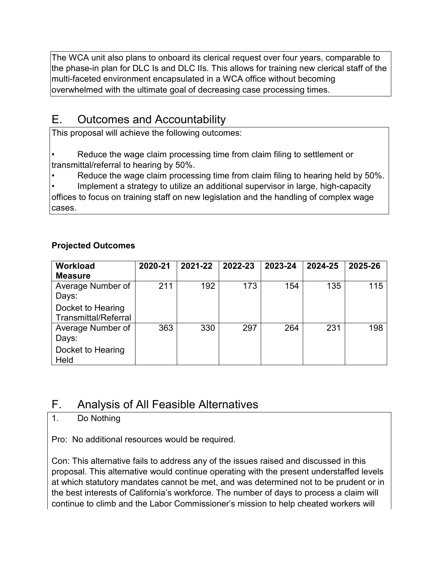The WCA unit also plans to onboard its clerical request over four years, comparable to the phase-in plan for DLC Is and DLC IIs. This allows for training new clerical staff of the multi-faceted environment encapsulated in a WCA office without becoming overwhelmed with the ultimate goal of decreasing case processing times.

### E. Outcomes and Accountability

This proposal will achieve the following outcomes:

Reduce the wage claim processing time from claim filing to settlement or transmittal/referral to hearing by 50%.

• Reduce the wage claim processing time from claim filing to hearing held by 50%.

Implement a strategy to utilize an additional supervisor in large, high-capacity offices to focus on training staff on new legislation and the handling of complex wage cases.

#### **Projected Outcomes**

| <b>Workload</b>      | 2020-21 | 2021-22 | 2022-23 | 2023-24 | 2024-25 | 2025-26 |
|----------------------|---------|---------|---------|---------|---------|---------|
| <b>Measure</b>       |         |         |         |         |         |         |
| Average Number of    | 211     | 192     | 173     | 154     | 135     | 115     |
| Days:                |         |         |         |         |         |         |
| Docket to Hearing    |         |         |         |         |         |         |
| Transmittal/Referral |         |         |         |         |         |         |
| Average Number of    | 363     | 330     | 297     | 264     | 231     | 198     |
| Days:                |         |         |         |         |         |         |
| Docket to Hearing    |         |         |         |         |         |         |
| Held                 |         |         |         |         |         |         |

### F. Analysis of All Feasible Alternatives

### 1. Do Nothing

Pro: No additional resources would be required.

Con: This alternative fails to address any of the issues raised and discussed in this proposal. This alternative would continue operating with the present understaffed levels at which statutory mandates cannot be met, and was determined not to be prudent or in the best interests of California's workforce. The number of days to process a claim will continue to climb and the Labor Commissioner's mission to help cheated workers will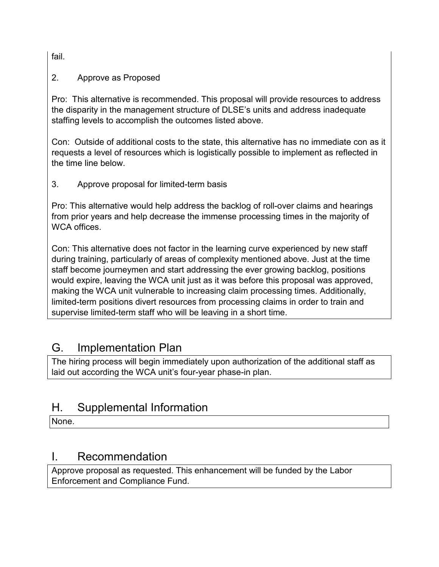fail.

#### 2. Approve as Proposed

Pro: This alternative is recommended. This proposal will provide resources to address the disparity in the management structure of DLSE's units and address inadequate staffing levels to accomplish the outcomes listed above.

Con: Outside of additional costs to the state, this alternative has no immediate con as it requests a level of resources which is logistically possible to implement as reflected in the time line below.

3. Approve proposal for limited-term basis

Pro: This alternative would help address the backlog of roll-over claims and hearings from prior years and help decrease the immense processing times in the majority of WCA offices.

Con: This alternative does not factor in the learning curve experienced by new staff during training, particularly of areas of complexity mentioned above. Just at the time staff become journeymen and start addressing the ever growing backlog, positions would expire, leaving the WCA unit just as it was before this proposal was approved, making the WCA unit vulnerable to increasing claim processing times. Additionally, limited-term positions divert resources from processing claims in order to train and supervise limited-term staff who will be leaving in a short time.

### G. Implementation Plan

The hiring process will begin immediately upon authorization of the additional staff as laid out according the WCA unit's four-year phase-in plan.

### H. Supplemental Information

None.

### I. Recommendation

Approve proposal as requested. This enhancement will be funded by the Labor Enforcement and Compliance Fund.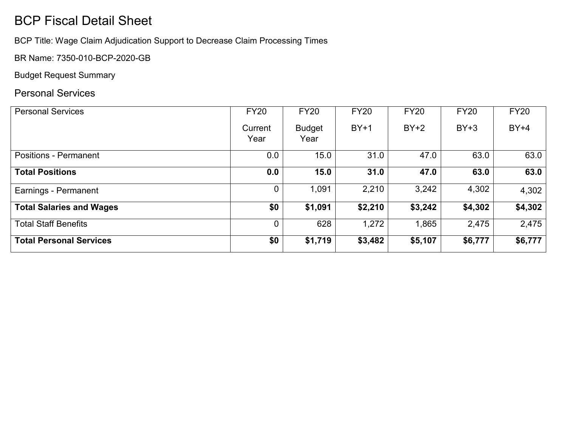# BCP Fiscal Detail Sheet

BCP Title: Wage Claim Adjudication Support to Decrease Claim Processing Times

BR Name: 7350-010-BCP-2020-GB

Budget Request Summary

### Personal Services

| <b>Personal Services</b>        | <b>FY20</b>     | <b>FY20</b>           | <b>FY20</b> | <b>FY20</b> | <b>FY20</b> | <b>FY20</b> |
|---------------------------------|-----------------|-----------------------|-------------|-------------|-------------|-------------|
|                                 | Current<br>Year | <b>Budget</b><br>Year | $BY+1$      | $BY+2$      | $BY+3$      | $BY+4$      |
| <b>Positions - Permanent</b>    | 0.0             | 15.0                  | 31.0        | 47.0        | 63.0        | 63.0        |
| <b>Total Positions</b>          | 0.0             | 15.0                  | 31.0        | 47.0        | 63.0        | 63.0        |
| Earnings - Permanent            |                 | 1,091                 | 2,210       | 3,242       | 4,302       | 4,302       |
| <b>Total Salaries and Wages</b> | \$0             | \$1,091               | \$2,210     | \$3,242     | \$4,302     | \$4,302     |
| <b>Total Staff Benefits</b>     |                 | 628                   | 1,272       | 1,865       | 2,475       | 2,475       |
| <b>Total Personal Services</b>  | \$0             | \$1,719               | \$3,482     | \$5,107     | \$6,777     | \$6,777     |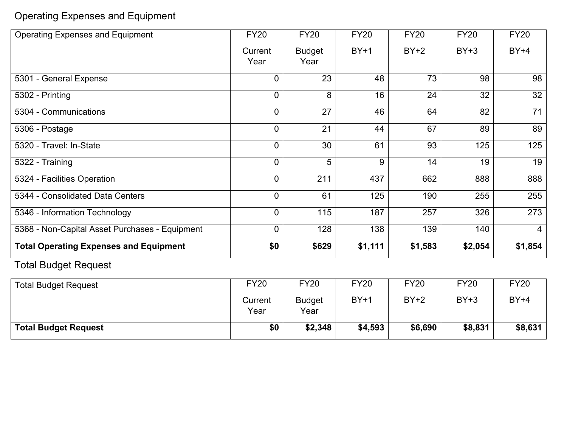Operating Expenses and Equipment

| <b>Operating Expenses and Equipment</b>        | <b>FY20</b>     | <b>FY20</b>           | <b>FY20</b> | <b>FY20</b> | <b>FY20</b> | <b>FY20</b>    |
|------------------------------------------------|-----------------|-----------------------|-------------|-------------|-------------|----------------|
|                                                | Current<br>Year | <b>Budget</b><br>Year | $BY+1$      | $BY+2$      | $BY+3$      | $BY+4$         |
| 5301 - General Expense                         | $\Omega$        | 23                    | 48          | 73          | 98          | 98             |
| 5302 - Printing                                | $\mathbf{0}$    | 8                     | 16          | 24          | 32          | 32             |
| 5304 - Communications                          | $\mathbf{0}$    | 27                    | 46          | 64          | 82          | 71             |
| 5306 - Postage                                 | $\overline{0}$  | 21                    | 44          | 67          | 89          | 89             |
| 5320 - Travel: In-State                        | $\mathbf{0}$    | 30                    | 61          | 93          | 125         | 125            |
| 5322 - Training                                | $\mathbf{0}$    | 5                     | 9           | 14          | 19          | 19             |
| 5324 - Facilities Operation                    | $\mathbf{0}$    | 211                   | 437         | 662         | 888         | 888            |
| 5344 - Consolidated Data Centers               | $\mathbf{0}$    | 61                    | 125         | 190         | 255         | 255            |
| 5346 - Information Technology                  | $\mathbf{0}$    | $\overline{115}$      | 187         | 257         | 326         | 273            |
| 5368 - Non-Capital Asset Purchases - Equipment | 0               | 128                   | 138         | 139         | 140         | $\overline{4}$ |
| <b>Total Operating Expenses and Equipment</b>  | \$0             | \$629                 | \$1,111     | \$1,583     | \$2,054     | \$1,854        |
| <b>Total Budget Request</b>                    |                 |                       |             |             |             |                |
| <b>Total Budget Request</b>                    | <b>FY20</b>     | <b>FY20</b>           | <b>FY20</b> | <b>FY20</b> | <b>FY20</b> | <b>FY20</b>    |
|                                                | Current         | <b>Budget</b>         | $BY+1$      | $BY+2$      | $BY+3$      | $BY+4$         |

Year

**Total Budget Request \$0 \$2,348 \$4,593 \$6,690 \$8,831 \$8,631**

Year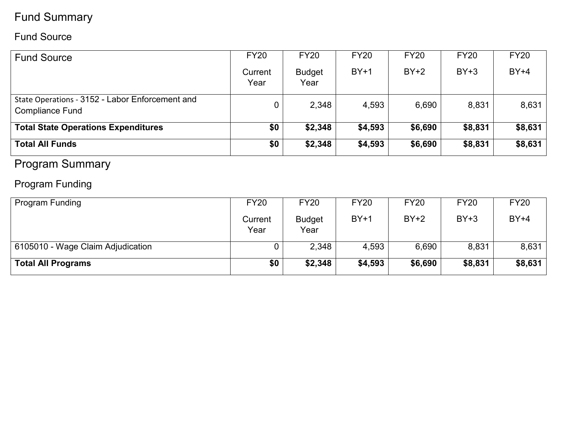# Fund Summary

### Fund Source

| <b>Fund Source</b>                                                        | <b>FY20</b><br>Current<br>Year | <b>FY20</b><br><b>Budget</b><br>Year | <b>FY20</b><br>$BY+1$ | <b>FY20</b><br>$BY+2$ | <b>FY20</b><br>$BY+3$ | <b>FY20</b><br>$BY+4$ |
|---------------------------------------------------------------------------|--------------------------------|--------------------------------------|-----------------------|-----------------------|-----------------------|-----------------------|
| State Operations - 3152 - Labor Enforcement and<br><b>Compliance Fund</b> |                                | 2,348                                | 4,593                 | 6,690                 | 8,831                 | 8,631                 |
| <b>Total State Operations Expenditures</b>                                | \$0                            | \$2,348                              | \$4,593               | \$6,690               | \$8,831               | \$8,631               |
| <b>Total All Funds</b>                                                    | \$0                            | \$2,348                              | \$4,593               | \$6,690               | \$8,831               | \$8,631               |

# Program Summary

# Program Funding

| <b>Program Funding</b>            | <b>FY20</b>     | <b>FY20</b>           | <b>FY20</b> | <b>FY20</b> | <b>FY20</b> | <b>FY20</b> |
|-----------------------------------|-----------------|-----------------------|-------------|-------------|-------------|-------------|
|                                   | Current<br>Year | <b>Budget</b><br>Year | $BY+1$      | $BY+2$      | $BY+3$      | $BY+4$      |
| 6105010 - Wage Claim Adjudication |                 | 2,348                 | 4,593       | 6,690       | 8,831       | 8,631       |
| <b>Total All Programs</b>         | \$0             | \$2,348               | \$4,593     | \$6,690     | \$8,831     | \$8,631     |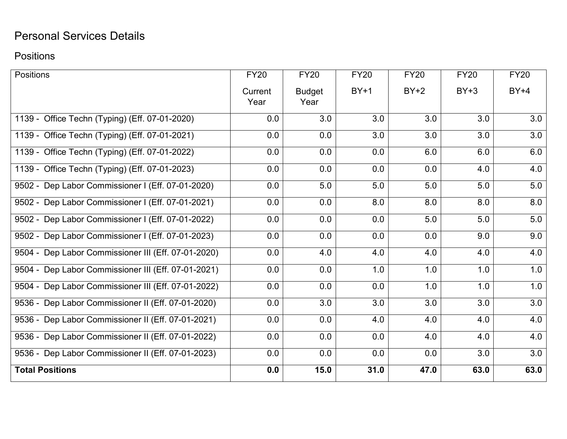# Personal Services Details

### Positions

| <b>Positions</b>                                    | <b>FY20</b> | <b>FY20</b>   | <b>FY20</b> | <b>FY20</b> | <b>FY20</b> | <b>FY20</b> |
|-----------------------------------------------------|-------------|---------------|-------------|-------------|-------------|-------------|
|                                                     | Current     | <b>Budget</b> | $BY+1$      | $BY+2$      | $BY+3$      | $BY+4$      |
|                                                     | Year        | Year          |             |             |             |             |
| 1139 - Office Techn (Typing) (Eff. 07-01-2020)      | 0.0         | 3.0           | 3.0         | 3.0         | 3.0         | 3.0         |
| 1139 - Office Techn (Typing) (Eff. 07-01-2021)      | 0.0         | 0.0           | 3.0         | 3.0         | 3.0         | 3.0         |
| 1139 - Office Techn (Typing) (Eff. 07-01-2022)      | 0.0         | 0.0           | 0.0         | 6.0         | 6.0         | 6.0         |
| 1139 - Office Techn (Typing) (Eff. 07-01-2023)      | 0.0         | 0.0           | 0.0         | 0.0         | 4.0         | 4.0         |
| 9502 - Dep Labor Commissioner I (Eff. 07-01-2020)   | 0.0         | 5.0           | 5.0         | 5.0         | 5.0         | 5.0         |
| 9502 - Dep Labor Commissioner I (Eff. 07-01-2021)   | 0.0         | 0.0           | 8.0         | 8.0         | 8.0         | 8.0         |
| 9502 - Dep Labor Commissioner I (Eff. 07-01-2022)   | 0.0         | 0.0           | 0.0         | 5.0         | 5.0         | 5.0         |
| 9502 - Dep Labor Commissioner I (Eff. 07-01-2023)   | 0.0         | 0.0           | 0.0         | 0.0         | 9.0         | 9.0         |
| 9504 - Dep Labor Commissioner III (Eff. 07-01-2020) | 0.0         | 4.0           | 4.0         | 4.0         | 4.0         | 4.0         |
| 9504 - Dep Labor Commissioner III (Eff. 07-01-2021) | 0.0         | 0.0           | 1.0         | 1.0         | 1.0         | 1.0         |
| 9504 - Dep Labor Commissioner III (Eff. 07-01-2022) | 0.0         | 0.0           | 0.0         | 1.0         | 1.0         | 1.0         |
| 9536 - Dep Labor Commissioner II (Eff. 07-01-2020)  | 0.0         | 3.0           | 3.0         | 3.0         | 3.0         | 3.0         |
| 9536 - Dep Labor Commissioner II (Eff. 07-01-2021)  | 0.0         | 0.0           | 4.0         | 4.0         | 4.0         | 4.0         |
| 9536 - Dep Labor Commissioner II (Eff. 07-01-2022)  | 0.0         | 0.0           | 0.0         | 4.0         | 4.0         | 4.0         |
| 9536 - Dep Labor Commissioner II (Eff. 07-01-2023)  | 0.0         | 0.0           | 0.0         | 0.0         | 3.0         | 3.0         |
| <b>Total Positions</b>                              | 0.0         | 15.0          | 31.0        | 47.0        | 63.0        | 63.0        |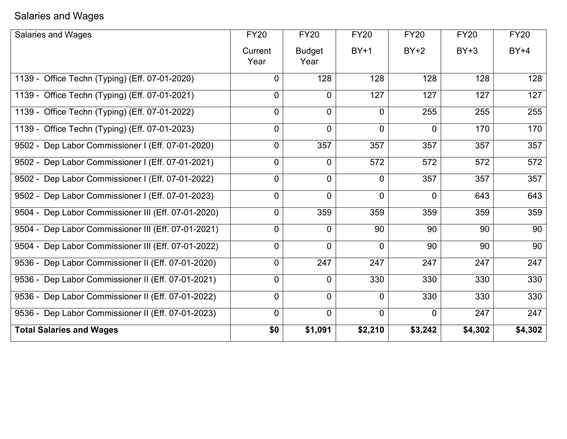# Salaries and Wages

| Salaries and Wages                                  | <b>FY20</b>     | <b>FY20</b>           | <b>FY20</b>    | <b>FY20</b> | <b>FY20</b> | <b>FY20</b> |
|-----------------------------------------------------|-----------------|-----------------------|----------------|-------------|-------------|-------------|
|                                                     | Current<br>Year | <b>Budget</b><br>Year | $BY+1$         | $BY+2$      | $BY+3$      | $BY+4$      |
| 1139 - Office Techn (Typing) (Eff. 07-01-2020)      | 0               | 128                   | 128            | 128         | 128         | 128         |
| 1139 - Office Techn (Typing) (Eff. 07-01-2021)      | 0               | $\mathbf 0$           | 127            | 127         | 127         | 127         |
| 1139 - Office Techn (Typing) (Eff. 07-01-2022)      | 0               | 0                     | $\mathbf{0}$   | 255         | 255         | 255         |
| 1139 - Office Techn (Typing) (Eff. 07-01-2023)      | 0               | $\mathbf 0$           | $\mathbf 0$    | 0           | 170         | 170         |
| 9502 - Dep Labor Commissioner I (Eff. 07-01-2020)   | 0               | 357                   | 357            | 357         | 357         | 357         |
| 9502 - Dep Labor Commissioner I (Eff. 07-01-2021)   | 0               | $\overline{0}$        | 572            | 572         | 572         | 572         |
| 9502 - Dep Labor Commissioner I (Eff. 07-01-2022)   | 0               | $\mathbf 0$           | $\Omega$       | 357         | 357         | 357         |
| 9502 - Dep Labor Commissioner I (Eff. 07-01-2023)   | 0               | $\overline{0}$        | $\Omega$       | $\Omega$    | 643         | 643         |
| 9504 - Dep Labor Commissioner III (Eff. 07-01-2020) | 0               | 359                   | 359            | 359         | 359         | 359         |
| 9504 - Dep Labor Commissioner III (Eff. 07-01-2021) | 0               | $\overline{0}$        | 90             | 90          | 90          | 90          |
| 9504 - Dep Labor Commissioner III (Eff. 07-01-2022) | $\overline{0}$  | $\overline{0}$        | $\overline{0}$ | 90          | 90          | 90          |
| 9536 - Dep Labor Commissioner II (Eff. 07-01-2020)  | 0               | 247                   | 247            | 247         | 247         | 247         |
| 9536 - Dep Labor Commissioner II (Eff. 07-01-2021)  | $\overline{0}$  | $\overline{0}$        | 330            | 330         | 330         | 330         |
| 9536 - Dep Labor Commissioner II (Eff. 07-01-2022)  | 0               | $\mathbf 0$           | $\Omega$       | 330         | 330         | 330         |
| 9536 - Dep Labor Commissioner II (Eff. 07-01-2023)  | $\overline{0}$  | $\mathbf 0$           | $\overline{0}$ | 0           | 247         | 247         |
| <b>Total Salaries and Wages</b>                     | \$0             | \$1,091               | \$2,210        | \$3,242     | \$4,302     | \$4,302     |